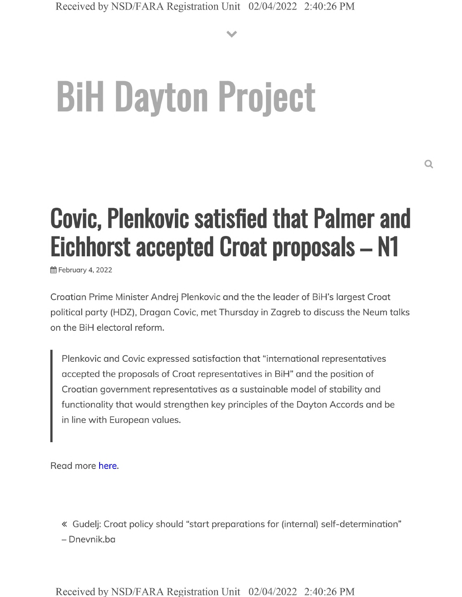**V**

## **BiH Dayton Project**

## **Covic, Plenkovic satisfied that Palmer and Eichhorst accepted Croat proposals - N1**

§§ February 4, 2022

Croatian Prime Minister Andrej Plenkovic and the the leader of BiH's largest Croat political party (HDZ), Dragan Covic, met Thursday in Zagreb to discuss the Neum talks on the BiH electoral reform.

Plenkovic and Covic expressed satisfaction that "international representatives accepted the proposals of Croat representatives in BiH" and the position of Croatian government representatives as a sustainable model of stability and functionality that would strengthen key principles of the Dayton Accords and be in line with European values.

Read more here.

« Gudelj: Croat policy should "start preparations for (internal) self-determination" - Dnevnik.ba

Received by NSD/FARA Registration Unit 02/04/2022 2:40:26 PM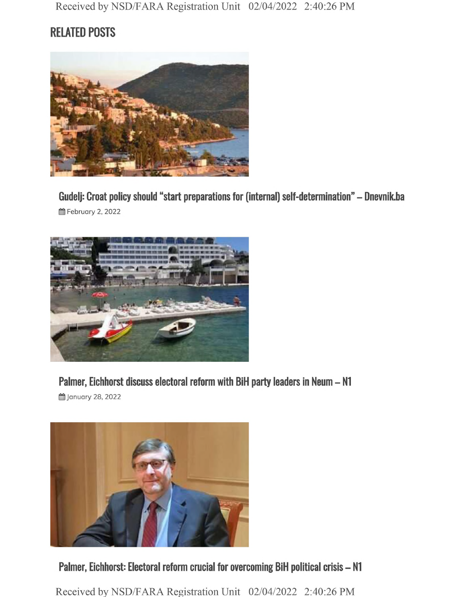## **RELATED POSTS**



**Gudelj: Croat policy should "start preparations for (internal) self-determination" - Dnevnik.ba 曲 February 2, 2022** 



**Palmer, Eichhorst discuss electoral reform with BiH party leaders in Neum - N1**

§§ January 28,2022



**Palmer, Eichhorst: Electoral reform crucial for overcoming BiH political crisis - N1**

Received by NSD/FARA Registration Unit 02/04/2022 2:40:26 PM